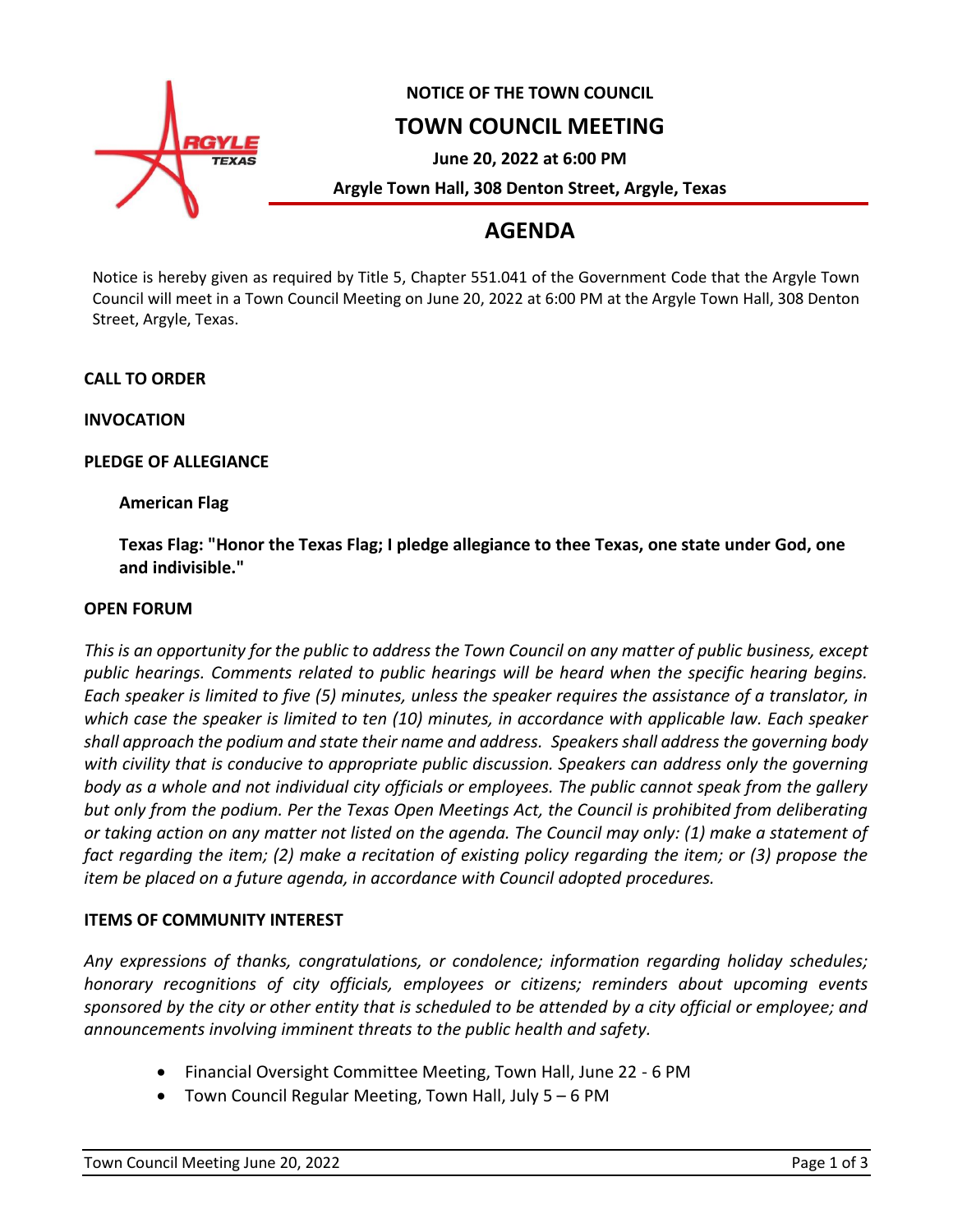

### **NOTICE OF THE TOWN COUNCIL**

## **TOWN COUNCIL MEETING**

**June 20, 2022 at 6:00 PM**

**Argyle Town Hall, 308 Denton Street, Argyle, Texas**

# **AGENDA**

Notice is hereby given as required by Title 5, Chapter 551.041 of the Government Code that the Argyle Town Council will meet in a Town Council Meeting on June 20, 2022 at 6:00 PM at the Argyle Town Hall, 308 Denton Street, Argyle, Texas.

#### **CALL TO ORDER**

**INVOCATION**

#### **PLEDGE OF ALLEGIANCE**

#### **American Flag**

**Texas Flag: "Honor the Texas Flag; I pledge allegiance to thee Texas, one state under God, one and indivisible."**

#### **OPEN FORUM**

*This is an opportunity for the public to address the Town Council on any matter of public business, except public hearings. Comments related to public hearings will be heard when the specific hearing begins. Each speaker is limited to five (5) minutes, unless the speaker requires the assistance of a translator, in which case the speaker is limited to ten (10) minutes, in accordance with applicable law. Each speaker shall approach the podium and state their name and address. Speakers shall address the governing body with civility that is conducive to appropriate public discussion. Speakers can address only the governing body as a whole and not individual city officials or employees. The public cannot speak from the gallery but only from the podium. Per the Texas Open Meetings Act, the Council is prohibited from deliberating or taking action on any matter not listed on the agenda. The Council may only: (1) make a statement of fact regarding the item; (2) make a recitation of existing policy regarding the item; or (3) propose the item be placed on a future agenda, in accordance with Council adopted procedures.*

#### **ITEMS OF COMMUNITY INTEREST**

*Any expressions of thanks, congratulations, or condolence; information regarding holiday schedules; honorary recognitions of city officials, employees or citizens; reminders about upcoming events sponsored by the city or other entity that is scheduled to be attended by a city official or employee; and announcements involving imminent threats to the public health and safety.*

- Financial Oversight Committee Meeting, Town Hall, June 22 6 PM
- Town Council Regular Meeting, Town Hall, July 5 6 PM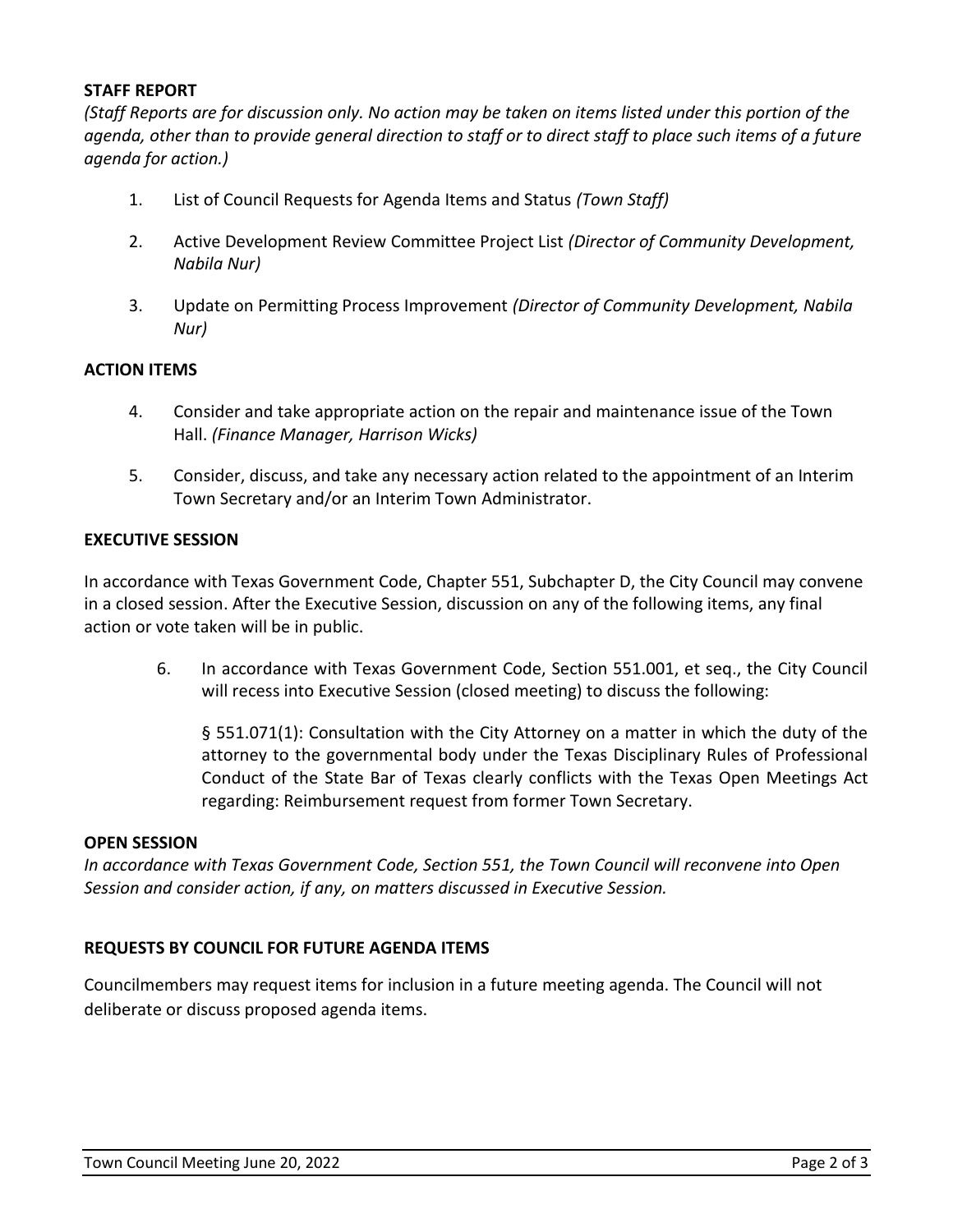#### **STAFF REPORT**

*(Staff Reports are for discussion only. No action may be taken on items listed under this portion of the agenda, other than to provide general direction to staff or to direct staff to place such items of a future agenda for action.)*

- 1. List of Council Requests for Agenda Items and Status *(Town Staff)*
- 2. Active Development Review Committee Project List *(Director of Community Development, Nabila Nur)*
- 3. Update on Permitting Process Improvement *(Director of Community Development, Nabila Nur)*

#### **ACTION ITEMS**

- 4. Consider and take appropriate action on the repair and maintenance issue of the Town Hall. *(Finance Manager, Harrison Wicks)*
- 5. Consider, discuss, and take any necessary action related to the appointment of an Interim Town Secretary and/or an Interim Town Administrator.

#### **EXECUTIVE SESSION**

In accordance with Texas Government Code, Chapter 551, Subchapter D, the City Council may convene in a closed session. After the Executive Session, discussion on any of the following items, any final action or vote taken will be in public.

6. In accordance with Texas Government Code, Section 551.001, et seq., the City Council will recess into Executive Session (closed meeting) to discuss the following:

§ 551.071(1): Consultation with the City Attorney on a matter in which the duty of the attorney to the governmental body under the Texas Disciplinary Rules of Professional Conduct of the State Bar of Texas clearly conflicts with the Texas Open Meetings Act regarding: Reimbursement request from former Town Secretary.

#### **OPEN SESSION**

*In accordance with Texas Government Code, Section 551, the Town Council will reconvene into Open Session and consider action, if any, on matters discussed in Executive Session.*

#### **REQUESTS BY COUNCIL FOR FUTURE AGENDA ITEMS**

Councilmembers may request items for inclusion in a future meeting agenda. The Council will not deliberate or discuss proposed agenda items.